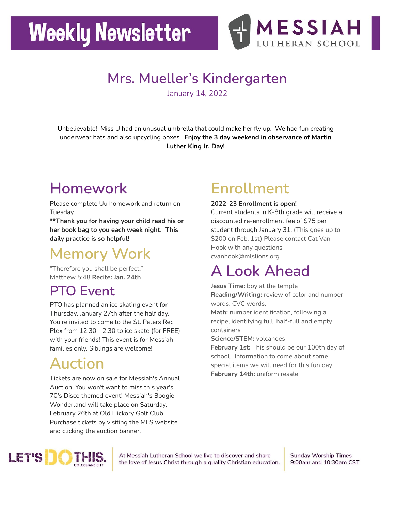# **Weekly Newsletter**



## **Mrs. Mueller's Kindergarten**

January 14, 2022

Unbelievable! Miss U had an unusual umbrella that could make her fly up. We had fun creating underwear hats and also upcycling boxes. **Enjoy the 3 day weekend in observance of Martin Luther King Jr. Day!**

# **Homework**

Please complete Uu homework and return on Tuesday.

**\*\*Thank you for having your child read his or her book bag to you each week night. This daily practice is so helpful!**

# **Memory Work**

"Therefore you shall be perfect." Matthew 5:48 **Recite: Jan. 24th**

#### **PTO Event**

PTO has planned an ice skating event for Thursday, January 27th after the half day. You're invited to come to the St. Peters Rec Plex from 12:30 - 2:30 to ice skate (for FREE) with your friends! This event is for Messiah families only. Siblings are welcome!

# **Auction**

Tickets are now on sale for Messiah's Annual Auction! You won't want to miss this year's 70's Disco themed event! Messiah's Boogie Wonderland will take place on Saturday, February 26th at Old Hickory Golf Club. Purchase tickets by visiting the MLS website and clicking the auction banner.

# **Enrollment**

**2022-23 Enrollment is open!** Current students in K-8th grade will receive a discounted re-enrollment fee of \$75 per student through January 31. (This goes up to \$200 on Feb. 1st) Please contact Cat Van Hook with any questions cvanhook@mlslions.org

## **A Look Ahead**

**Jesus Time:** boy at the temple **Reading/Writing:** review of color and number words, CVC words,

**Math:** number identification, following a recipe, identifying full, half-full and empty containers

**Science/STEM:** volcanoes

**February 1st:** This should be our 100th day of school. Information to come about some special items we will need for this fun day! **February 14th:** uniform resale



At Messiah Lutheran School we live to discover and share the love of Jesus Christ through a quality Christian education. **Sunday Worship Times** 9:00am and 10:30am CST